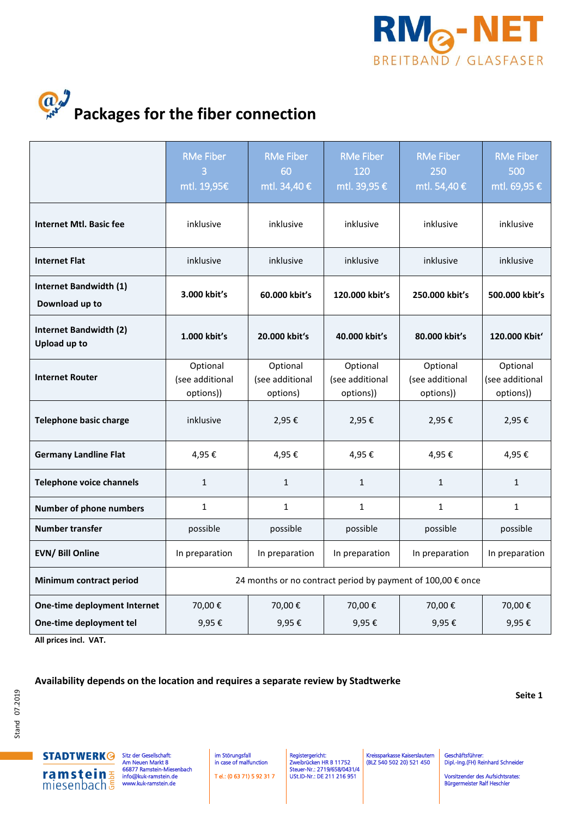



|                                                         | <b>RMe Fiber</b><br>3<br>mtl. 19,95€                        | <b>RMe Fiber</b><br>60<br>mtl. 34,40 €  | <b>RMe Fiber</b><br>120<br>mtl. 39,95 €  | <b>RMe Fiber</b><br>250<br>mtl. 54,40 €  | <b>RMe Fiber</b><br>500<br>mtl. 69,95 €  |
|---------------------------------------------------------|-------------------------------------------------------------|-----------------------------------------|------------------------------------------|------------------------------------------|------------------------------------------|
| <b>Internet Mtl. Basic fee</b>                          | inklusive                                                   | inklusive                               | inklusive                                | inklusive                                | inklusive                                |
| <b>Internet Flat</b>                                    | inklusive                                                   | inklusive                               | inklusive                                | inklusive                                | inklusive                                |
| <b>Internet Bandwidth (1)</b><br>Download up to         | 3.000 kbit's                                                | 60.000 kbit's                           | 120.000 kbit's                           | 250.000 kbit's                           | 500.000 kbit's                           |
| <b>Internet Bandwidth (2)</b><br><b>Upload up to</b>    | 1.000 kbit's                                                | 20.000 kbit's                           | 40.000 kbit's                            | 80.000 kbit's                            | 120.000 Kbit'                            |
| <b>Internet Router</b>                                  | Optional<br>(see additional<br>options))                    | Optional<br>(see additional<br>options) | Optional<br>(see additional<br>options)) | Optional<br>(see additional<br>options)) | Optional<br>(see additional<br>options)) |
| <b>Telephone basic charge</b>                           | inklusive                                                   | 2,95€                                   | 2,95€                                    | 2,95€                                    | 2,95€                                    |
| <b>Germany Landline Flat</b>                            | 4,95€                                                       | 4,95€                                   | 4,95€                                    | 4,95€                                    | 4,95€                                    |
| <b>Telephone voice channels</b>                         | $\mathbf{1}$                                                | $\mathbf{1}$                            | $\mathbf{1}$                             | $\mathbf{1}$                             | $\mathbf{1}$                             |
| <b>Number of phone numbers</b>                          | $\mathbf{1}$                                                | $\mathbf{1}$                            | $\mathbf{1}$                             | $\mathbf{1}$                             | $\mathbf{1}$                             |
| <b>Number transfer</b>                                  | possible                                                    | possible                                | possible                                 | possible                                 | possible                                 |
| <b>EVN/ Bill Online</b>                                 | In preparation                                              | In preparation                          | In preparation                           | In preparation                           | In preparation                           |
| Minimum contract period                                 | 24 months or no contract period by payment of 100,00 € once |                                         |                                          |                                          |                                          |
| One-time deployment Internet<br>One-time deployment tel | 70,00€<br>9,95€                                             | 70,00€<br>9,95€                         | 70,00€<br>9,95€                          | 70,00€<br>9,95€                          | 70,00€<br>9,95€                          |

**All prices incl. VAT.**

## **Availability depends on the location and requires a separate review by Stadtwerke**

Ι

**Seite 1**

**STADTWERK<sup>@</sup>** ramstein

Sitz der G Am Neuen Markt 8 66877 Ramstein-Miesenbach amstein.de ramstein.de

 im Störungsfall in case of malfunction T el.: (0 63 71) 5 92 31 7 Registergericht: Zweibrücken HR B 11752 Steuer-Nr.: 2719/658/0431/4 USt.ID-Nr.: DE 211 216 951

Kreissparkasse Kaiserslautern (BLZ 540 502 20) 521 450

Dipl.-Ing.(FH) Reinhard Sch

schäftsführer:

Vorsitzender des Aufsichtsrates: Bürgermeister Ralf Heschler